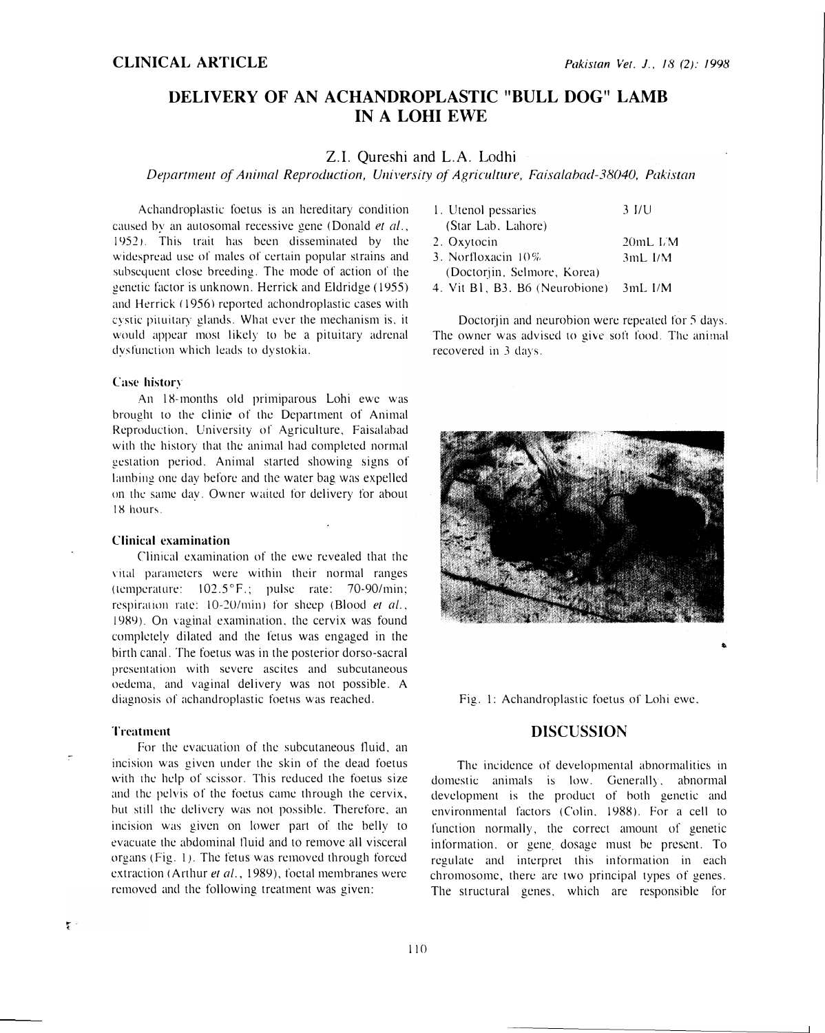# DELIVERY OF AN ACHANDROPLASTIC "BULL DOG'' LAMB IN A LOHI EWE

## Z.I. Qureshi and L.A. Lodhi

Department of Animal Reproduction, University of Agriculture, Faisalahad-38040, Pakistan

Achandroplastic foetus is an hereditary condition caused by an autosomal recessive gene (Donald et al., 19521. This trait has been disseminated by the widespread usc of males or certain popular strains and subsequent close breeding. The mode of action of the genetic factor is unknown. Herrick and Eldridge ( 1955) and Herrick ( 1956) reported achondroplastic cases with cystic pituitary glands. What ever the mechanism is. it would appear most likely to be a pituitary adrenal dysfunction which leads to dystokia.

#### Case history

An 18-months old primiparous Lohi ewe was brought to the clinic of the Department of Animal Reproduction. University of Agriculture, Faisalabad with the history that the animal had completed normal gestation period. Animal started showing signs of lambing one day before and the water bag was expelled on the same day. Owner waited for delivery for about 18 hours.

#### Clinical examination

Clinical examination of the ewe revealed that the vital parameters were within their normal ranges (temperature: l02.5°F.; pulse rate: 70-90/min; respiration rate:  $10-20/\text{min}$  for sheep (Blood et al., 19R9). On vaginal examination. the cervix was found completely dilated and the fetus was engaged in the birth canal. The foetus was in the posterior dorso-sacral presentation with severe ascites and subcutaneous oedema, and vaginal delivery was not possible. A diagnosis of achandroplastic foetus was reached.

#### **Treatment**

For the evacuation of the subcutaneous 11uid, an incision was given under the skin of the dead foetus with the help of scissor. This reduced the foetus size and the pelvis of the foetus came through the cervix, hut still the delivery was not possible. Therefore. an incision was given on lower part of the belly to evacuate the abdominal tluid and to remove all visceral organs ( Fig. l). The fetus was removed through forced extraction (Arthur et al., 1989), foetal membranes were removed and the following treatment was given:

| 1. Utenol pessaries                    | 3 I/U         |
|----------------------------------------|---------------|
| (Star Lab, Lahore)                     |               |
| 2. Oxytocin                            | 20mL L/M      |
| 3. Norfloxacin $10\%$                  | $3ml$ . $I/M$ |
| (Doctorjin, Selmore, Korea)            |               |
| 4. Vit B1, B3, B6 (Neurobione) 3mL I/M |               |

Doctorjin and neurobion were repeated for 5 days. The owner was advised to give soft food. The animal recovered in 3 days.



Fig. 1: Achandroplastic foetus of Lobi ewe.

## DISCUSSION

The incidence of developmental abnormalities in domestic animals is low. Generally, abnormal development is the product of both genetic and environmental factors (Colin. 1988). For a cell to function normally, the correct amount of genetic information. or gene dosage must be present. To regulate and interpret this information in each chromosome, there are two principal types of genes. The structural genes, which are responsible for